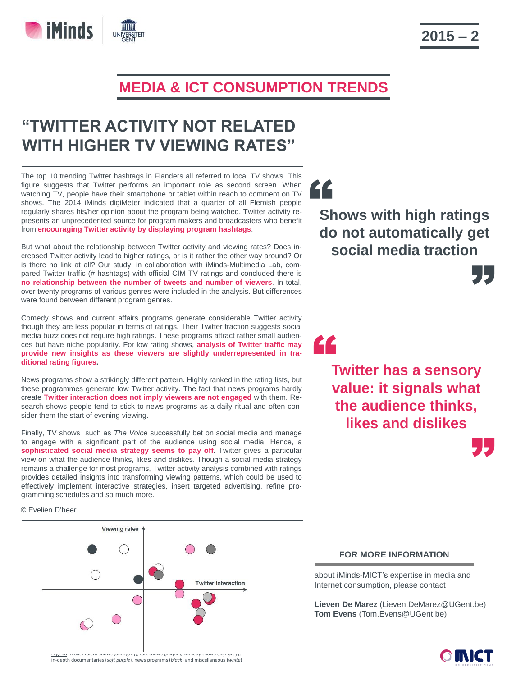

## **"TWITTER ACTIVITY NOT RELATED WITH HIGHER TV VIEWING RATES"**

The top 10 trending Twitter hashtags in Flanders all referred to local TV shows. This figure suggests that Twitter performs an important role as second screen. When watching TV, people have their smartphone or tablet within reach to comment on TV shows. The 2014 iMinds digiMeter indicated that a quarter of all Flemish people regularly shares his/her opinion about the program being watched. Twitter activity represents an unprecedented source for program makers and broadcasters who benefit from **encouraging Twitter activity by displaying program hashtags**.

But what about the relationship between Twitter activity and viewing rates? Does increased Twitter activity lead to higher ratings, or is it rather the other way around? Or is there no link at all? Our study, in collaboration with iMinds-Multimedia Lab, compared Twitter traffic (# hashtags) with official CIM TV ratings and concluded there is **no relationship between the number of tweets and number of viewers**. In total, over twenty programs of various genres were included in the analysis. But differences were found between different program genres.

Comedy shows and current affairs programs generate considerable Twitter activity though they are less popular in terms of ratings. Their Twitter traction suggests social media buzz does not require high ratings. These programs attract rather small audiences but have niche popularity. For low rating shows, **analysis of Twitter traffic may provide new insights as these viewers are slightly underrepresented in traditional rating figures.**

News programs show a strikingly different pattern. Highly ranked in the rating lists, but these programmes generate low Twitter activity. The fact that news programs hardly create **Twitter interaction does not imply viewers are not engaged** with them. Research shows people tend to stick to news programs as a daily ritual and often consider them the start of evening viewing.

Finally, TV shows such as *The Voice* successfully bet on social media and manage to engage with a significant part of the audience using social media. Hence, a **sophisticated social media strategy seems to pay off**. Twitter gives a particular view on what the audience thinks, likes and dislikes. Though a social media strategy remains a challenge for most programs, Twitter activity analysis combined with ratings provides detailed insights into transforming viewing patterns, which could be used to effectively implement interactive strategies, insert targeted advertising, refine programming schedules and so much more.

© Evelien D'heer

**iMinds** 



## י<br>נ **Shows with high ratings do not automatically get social media traction**

"

"

" **Twitter has a sensory value: it signals what the audience thinks, likes and dislikes** 

## **FOR MORE INFORMATION**

about iMinds-MICT's expertise in media and Internet consumption, please contact

**Lieven De Marez** (Lieven.DeMarez@UGent.be) **Tom Evens** (Tom.Evens@UGent.be)